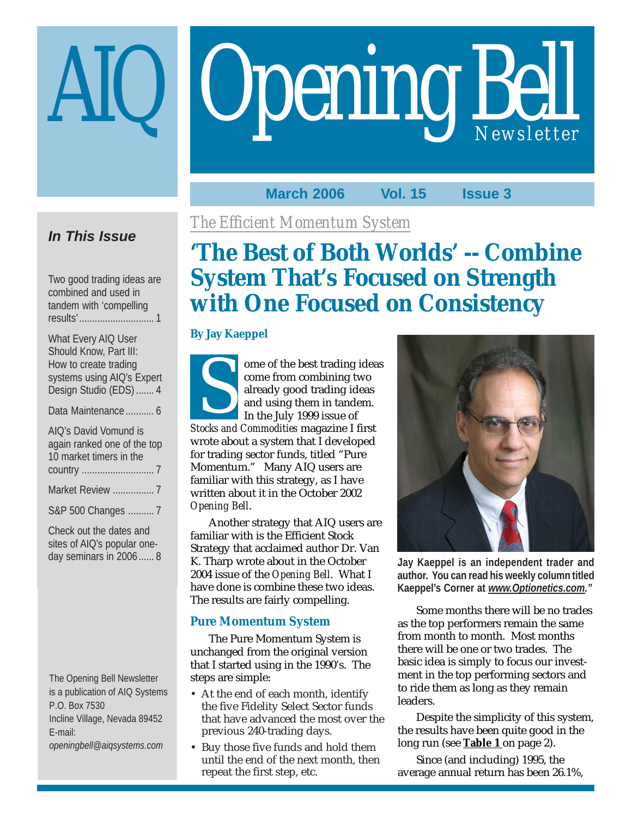# Opening Bell

# **March 2006 Vol. 15 Issue 3**

# **In This Issue**

Two good trading ideas are combined and used in tandem with 'compelling results'............................. 1

| What Every AIQ User        |
|----------------------------|
| Should Know, Part III:     |
| How to create trading      |
| systems using AIQ's Expert |
| Design Studio (EDS)  4     |
|                            |

Data Maintenance ........... 6

| AIQ's David Vomund is       |
|-----------------------------|
| again ranked one of the top |
| 10 market timers in the     |
|                             |
| Market Review  7            |
| S&P 500 Changes  7          |

Check out the dates and sites of AIQ's popular oneday seminars in 2006...... 8

The Opening Bell Newsletter is a publication of AIQ Systems P.O. Box 7530 Incline Village, Nevada 89452 E-mail: *openingbell@aiqsystems.com*

# *The Efficient Momentum System*

# **'The Best of Both Worlds' -- Combine System That's Focused on Strength with One Focused on Consistency**

# **By Jay Kaeppel**

ome of the best trading ideas come from combining two already good trading ideas and using them in tandem. In the July 1999 issue of Franch Commodities<br>
and using them in tandem.<br>
In the July 1999 issue of<br>
Stocks and Commodities magazine I first wrote about a system that I developed for trading sector funds, titled "Pure Momentum." Many AIQ users are familiar with this strategy, as I have written about it in the October 2002 *Opening Bell*.

Another strategy that AIQ users are familiar with is the Efficient Stock Strategy that acclaimed author Dr. Van K. Tharp wrote about in the October 2004 issue of the *Opening Bell*. What I have done is combine these two ideas. The results are fairly compelling.

# **Pure Momentum System**

The Pure Momentum System is unchanged from the original version that I started using in the 1990's. The steps are simple:

- At the end of each month, identify the five Fidelity Select Sector funds that have advanced the most over the previous 240-trading days.
- Buy those five funds and hold them until the end of the next month, then repeat the first step, etc.



**Jay Kaeppel is an independent trader and author. You can read his weekly column titled Kaeppel's Corner at** *www.Optionetics.com."*

Some months there will be no trades as the top performers remain the same from month to month. Most months there will be one or two trades. The basic idea is simply to focus our investment in the top performing sectors and to ride them as long as they remain leaders.

Despite the simplicity of this system, the results have been quite good in the long run (see **Table 1** on page 2).

Since (and including) 1995, the average annual return has been 26.1%,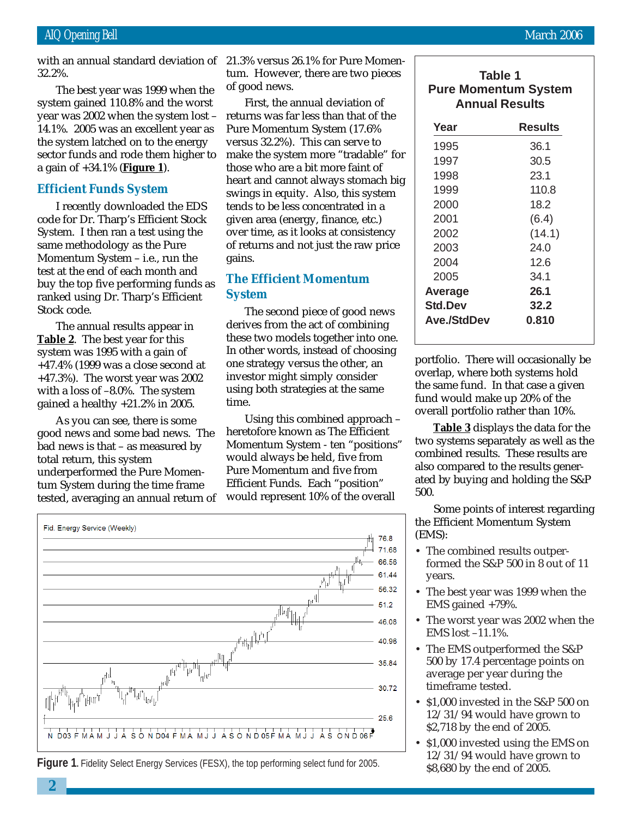system gained 110.8% and the worst The best year was 1999 when the year was 2002 when the system lost – 14.1%. 2005 was an excellent year as the system latched on to the energy sector funds and rode them higher to a gain of +34.1% (**Figure 1**).

## **Efficient Funds System**

I recently downloaded the EDS code for Dr. Tharp's Efficient Stock System. I then ran a test using the same methodology as the Pure Momentum System – i.e., run the test at the end of each month and buy the top five performing funds as ranked using Dr. Tharp's Efficient Stock code.

The annual results appear in **Table 2**. The best year for this system was 1995 with a gain of +47.4% (1999 was a close second at +47.3%). The worst year was 2002 with a loss of –8.0%. The system gained a healthy +21.2% in 2005.

As you can see, there is some good news and some bad news. The bad news is that – as measured by total return, this system underperformed the Pure Momentum System during the time frame tested, averaging an annual return of

with an annual standard deviation of 21.3% versus 26.1% for Pure Momentum. However, there are two pieces of good news.

> First, the annual deviation of returns was far less than that of the Pure Momentum System (17.6% versus 32.2%). This can serve to make the system more "tradable" for those who are a bit more faint of heart and cannot always stomach big swings in equity. Also, this system tends to be less concentrated in a given area (energy, finance, etc.) over time, as it looks at consistency of returns and not just the raw price gains.

# **The Efficient Momentum System**

The second piece of good news derives from the act of combining these two models together into one. In other words, instead of choosing one strategy versus the other, an investor might simply consider using both strategies at the same time.

Using this combined approach – heretofore known as The Efficient Momentum System - ten "positions" would always be held, five from Pure Momentum and five from Efficient Funds. Each "position" would represent 10% of the overall



**Figure 1.** Fidelity Select Energy Services (FESX), the top performing select fund for 2005.

# **Table 1 Pure Momentum System Annual Results**

| Year               | <b>Results</b> |
|--------------------|----------------|
| 1995               | 36.1           |
| 1997               | 30.5           |
| 1998               | 23.1           |
| 1999               | 110.8          |
| 2000               | 18.2           |
| 2001               | (6.4)          |
| 2002               | (14.1)         |
| 2003               | 24.0           |
| 2004               | 12.6           |
| 2005               | 34.1           |
| Average            | 26.1           |
| <b>Std.Dev</b>     | 32.2           |
| <b>Ave./StdDev</b> | 0.810          |

portfolio. There will occasionally be overlap, where both systems hold the same fund. In that case a given fund would make up 20% of the overall portfolio rather than 10%.

**Table 3** displays the data for the two systems separately as well as the combined results. These results are also compared to the results generated by buying and holding the S&P 500.

Some points of interest regarding the Efficient Momentum System (EMS):

- The combined results outperformed the S&P 500 in 8 out of 11 years.
- The best year was 1999 when the EMS gained +79%.
- The worst year was 2002 when the EMS lost –11.1%.
- The EMS outperformed the S&P 500 by 17.4 percentage points on average per year during the timeframe tested.
- \$1,000 invested in the S&P 500 on 12/31/94 would have grown to \$2,718 by the end of 2005.
- \$1,000 invested using the EMS on 12/31/94 would have grown to \$8,680 by the end of 2005.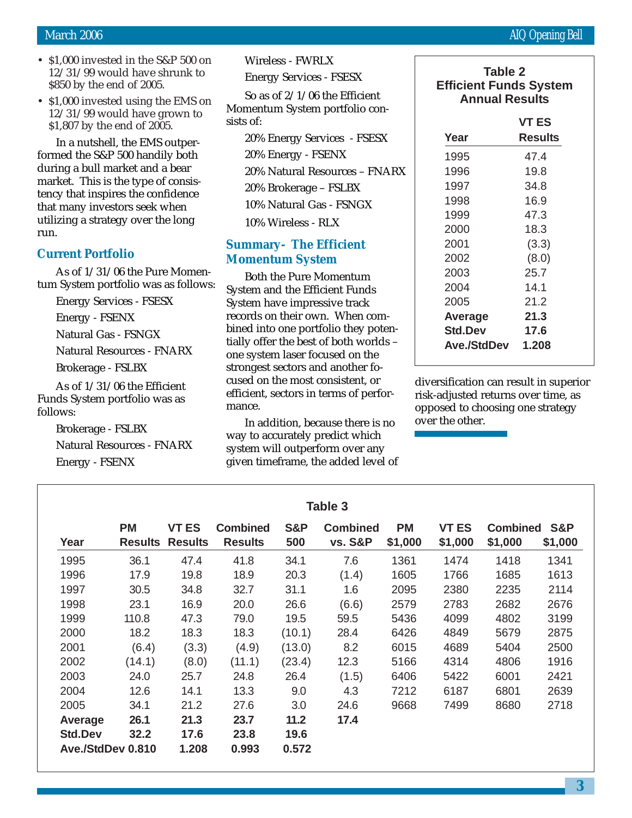- \$1,000 invested in the S&P 500 on 12/31/99 would have shrunk to \$850 by the end of 2005.
- \$1,000 invested using the EMS on 12/31/99 would have grown to \$1,807 by the end of 2005.

In a nutshell, the EMS outperformed the S&P 500 handily both during a bull market and a bear market. This is the type of consistency that inspires the confidence that many investors seek when utilizing a strategy over the long run.

### **Current Portfolio**

As of 1/31/06 the Pure Momentum System portfolio was as follows:

Energy Services - FSESX

Energy - FSENX

Natural Gas - FSNGX

Natural Resources - FNARX

Brokerage - FSLBX

As of 1/31/06 the Efficient Funds System portfolio was as follows:

> Brokerage - FSLBX Natural Resources - FNARX Energy - FSENX

Wireless - FWRLX

Energy Services - FSESX

So as of 2/1/06 the Efficient Momentum System portfolio consists of:

20% Energy Services - FSESX 20% Energy - FSENX 20% Natural Resources – FNARX 20% Brokerage – FSLBX 10% Natural Gas - FSNGX

10% Wireless - RLX

# **Summary- The Efficient Momentum System**

Both the Pure Momentum System and the Efficient Funds System have impressive track records on their own. When combined into one portfolio they potentially offer the best of both worlds – one system laser focused on the strongest sectors and another focused on the most consistent, or efficient, sectors in terms of performance.

In addition, because there is no way to accurately predict which system will outperform over any given timeframe, the added level of

# **Table 2 Efficient Funds System Annual Results**

|                | VT ES   |
|----------------|---------|
| Year           | Results |
| 1995           | 47.4    |
| 1996           | 19.8    |
| 1997           | 34.8    |
| 1998           | 16.9    |
| 1999           | 47.3    |
| 2000           | 18.3    |
| 2001           | (3.3)   |
| 2002           | (8.0)   |
| 2003           | 25.7    |
| 2004           | 14.1    |
| 2005           | 21.2    |
| Average        | 21.3    |
| <b>Std.Dev</b> | 17.6    |
| Ave./StdDev    | 1.208   |

diversification can result in superior risk-adjusted returns over time, as opposed to choosing one strategy over the other.

|                   |                             |                                |                                   |                       | Table 3                               |                      |                         |                            |                |
|-------------------|-----------------------------|--------------------------------|-----------------------------------|-----------------------|---------------------------------------|----------------------|-------------------------|----------------------------|----------------|
| Year              | <b>PM</b><br><b>Results</b> | <b>VT ES</b><br><b>Results</b> | <b>Combined</b><br><b>Results</b> | <b>S&amp;P</b><br>500 | <b>Combined</b><br><b>vs. S&amp;P</b> | <b>PM</b><br>\$1,000 | <b>VT ES</b><br>\$1,000 | <b>Combined</b><br>\$1,000 | S&P<br>\$1,000 |
| 1995              | 36.1                        | 47.4                           | 41.8                              | 34.1                  | 7.6                                   | 1361                 | 1474                    | 1418                       | 1341           |
| 1996              | 17.9                        | 19.8                           | 18.9                              | 20.3                  | (1.4)                                 | 1605                 | 1766                    | 1685                       | 1613           |
| 1997              | 30.5                        | 34.8                           | 32.7                              | 31.1                  | 1.6                                   | 2095                 | 2380                    | 2235                       | 2114           |
| 1998              | 23.1                        | 16.9                           | 20.0                              | 26.6                  | (6.6)                                 | 2579                 | 2783                    | 2682                       | 2676           |
| 1999              | 110.8                       | 47.3                           | 79.0                              | 19.5                  | 59.5                                  | 5436                 | 4099                    | 4802                       | 3199           |
| 2000              | 18.2                        | 18.3                           | 18.3                              | (10.1)                | 28.4                                  | 6426                 | 4849                    | 5679                       | 2875           |
| 2001              | (6.4)                       | (3.3)                          | (4.9)                             | (13.0)                | 8.2                                   | 6015                 | 4689                    | 5404                       | 2500           |
| 2002              | (14.1)                      | (8.0)                          | (11.1)                            | (23.4)                | 12.3                                  | 5166                 | 4314                    | 4806                       | 1916           |
| 2003              | 24.0                        | 25.7                           | 24.8                              | 26.4                  | (1.5)                                 | 6406                 | 5422                    | 6001                       | 2421           |
| 2004              | 12.6                        | 14.1                           | 13.3                              | 9.0                   | 4.3                                   | 7212                 | 6187                    | 6801                       | 2639           |
| 2005              | 34.1                        | 21.2                           | 27.6                              | 3.0                   | 24.6                                  | 9668                 | 7499                    | 8680                       | 2718           |
| Average           | 26.1                        | 21.3                           | 23.7                              | 11.2                  | 17.4                                  |                      |                         |                            |                |
| <b>Std.Dev</b>    | 32.2                        | 17.6                           | 23.8                              | 19.6                  |                                       |                      |                         |                            |                |
| Ave./StdDev 0.810 |                             | 1.208                          | 0.993                             | 0.572                 |                                       |                      |                         |                            |                |

### **3**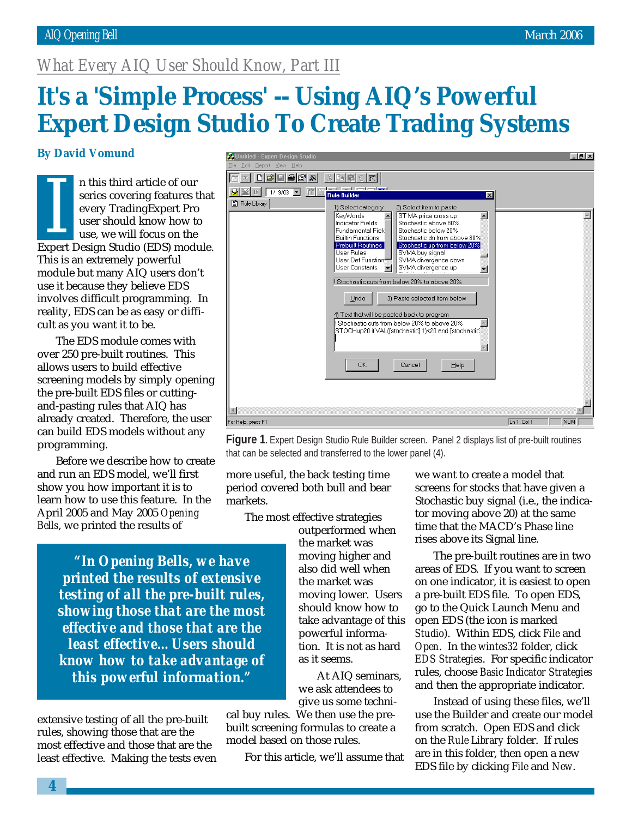# *What Every AIQ User Should Know, Part III*

# It's a 'Simple Process' -- Using AIQ's Powerful **Expert Design Studio To Create Trading Systems**

### **By David Vomund**

It also that<br>series covering features that<br>every TradingExpert Pro<br>user should know how to<br>use, we will focus on the<br>Expert Design Studio (EDS) module. n this third article of our series covering features that every TradingExpert Pro user should know how to use, we will focus on the This is an extremely powerful module but many AIQ users don't use it because they believe EDS involves difficult programming. In reality, EDS can be as easy or difficult as you want it to be.

The EDS module comes with over 250 pre-built routines. This allows users to build effective screening models by simply opening the pre-built EDS files or cuttingand-pasting rules that AIQ has already created. Therefore, the user can build EDS models without any programming.

Before we describe how to create and run an EDS model, we'll first show you how important it is to learn how to use this feature. In the April 2005 and May 2005 *Opening Bells*, we printed the results of

 $F$   $x$  $\Box$   $\times$   $\Box$   $\odot$   $\Box$   $\Box$   $\Box$   $\otimes$   $\boxtimes$   $\boxtimes$  $|X|$  to  $|B|$   $\circ$   $|F|$ ■图 Ⅲ 17 9703 ▼ 『门 Rule Builder  $\overline{\mathbf{x}}$ Rule Library 1) Select category 2) Select item to paste ST MA price cross up  $\overline{\blacksquare}$  $\triangle$ KevWords  $\overline{\phantom{a}}$ Stochastic above 80% Indicator Fields Fundamental Field Stochastic below 20% **Builtin Functions** Stochastic dn from above 80% Prebuilt Routines Stochastic up from below 20% User Bules SVMA buy signal User Def Function SVMA divergence down SVMA divergence up User Constants  $\mathbf{r}$ ≖ Stochastic cuts from below 20% to above 20% 3) Paste selected item below Undo 4) Text that will be pasted back to program  $\blacktriangle$ ll Stochastic cuts from below 20% to above 20% STOCHup20 if VAL([stochastic],1)<20 and [stochastic]  $\overline{\nabla}$  $\cap$ K Cancel Help  $\mathbb{E}$ For Help, press F1  $\boxed{\text{Ln }1,\text{Col }1$   $\boxed{\text{NUM }1}$ 

**Figure 1.** Expert Design Studio Rule Builder screen. Panel 2 displays list of pre-built routines that can be selected and transferred to the lower panel (4).

more useful, the back testing time period covered both bull and bear markets.

The most effective strategies

*"In Opening Bells, we have printed the results of extensive testing of all the pre-built rules, showing those that are the most effective and those that are the least effective…Users should know how to take advantage of this powerful information."*

extensive testing of all the pre-built rules, showing those that are the most effective and those that are the least effective. Making the tests even outperformed when the market was moving higher and also did well when the market was moving lower. Users should know how to take advantage of this powerful information. It is not as hard as it seems.

At AIQ seminars, we ask attendees to give us some techni-

cal buy rules. We then use the prebuilt screening formulas to create a model based on those rules.

For this article, we'll assume that

we want to create a model that screens for stocks that have given a Stochastic buy signal (i.e., the indicator moving above 20) at the same time that the MACD's Phase line rises above its Signal line.

The pre-built routines are in two areas of EDS. If you want to screen on one indicator, it is easiest to open a pre-built EDS file. To open EDS, go to the Quick Launch Menu and open EDS (the icon is marked *Studio*). Within EDS, click *File* and *Open*. In the *wintes32* folder, click *EDS Strategies*. For specific indicator rules, choose *Basic Indicator Strategies* and then the appropriate indicator.

Instead of using these files, we'll use the Builder and create our model from scratch. Open EDS and click on the *Rule Library* folder. If rules are in this folder, then open a new EDS file by clicking *File* and *New*.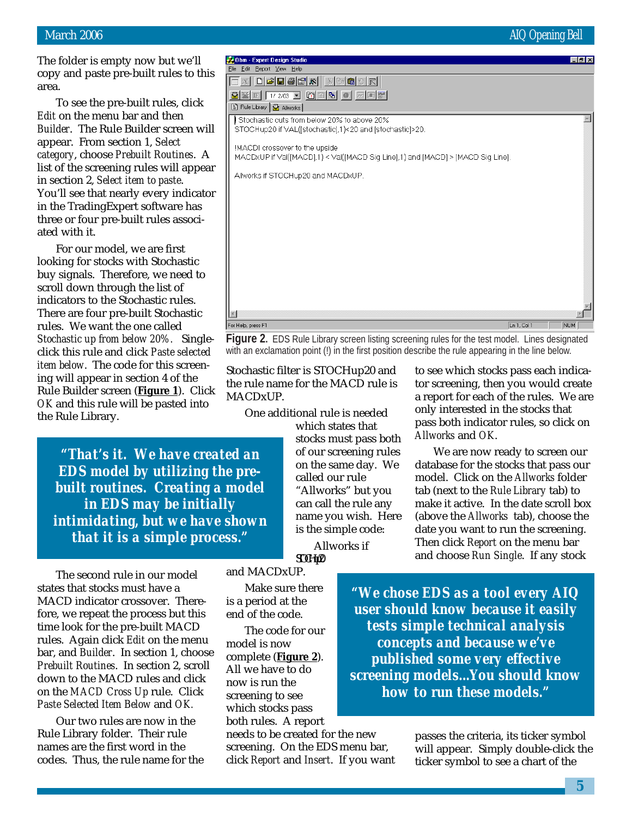The folder is empty now but we'll copy and paste pre-built rules to this area.

ea.<br>To s<br>*it* on t<br>*ilder*.<br>pear. To see the pre-built rules, click *Edit* on the menu bar and then *Builder*. The Rule Builder screen will appear. From section 1, *Select category*, choose *Prebuilt Routines*. A list of the screening rules will appear in section 2, *Select item to paste*. You'll see that nearly every indicator in the TradingExpert software has three or four pre-built rules associated with it.

For our model, we are first looking for stocks with Stochastic buy signals. Therefore, we need to scroll down through the list of indicators to the Stochastic rules. There are four pre-built Stochastic rules. We want the one called *Stochastic up from below 20%.* Singleclick this rule and click *Paste selected item below*. The code for this screening will appear in section 4 of the Rule Builder screen (**Figure 1**). Click *OK* and this rule will be pasted into the Rule Library.

*"That's it. We have created an EDS model by utilizing the prebuilt routines. Creating a model in EDS may be initially intimidating, but we have shown that it is a simple process."*

The second rule in our model states that stocks must have a MACD indicator crossover. Therefore, we repeat the process but this time look for the pre-built MACD rules. Again click *Edit* on the menu bar, and *Builder*. In section 1, choose *Prebuilt Routines*. In section 2, scroll down to the MACD rules and click on the *MACD Cross Up* rule. Click *Paste Selected Item Below* and *OK.*

Our two rules are now in the Rule Library folder. Their rule names are the first word in the codes. Thus, the rule name for the

| STOCHup20 if VAL([stochastic],1)<20 and [stochastic]>20.                                                         |
|------------------------------------------------------------------------------------------------------------------|
| !MACDI crossover to the upside<br>MACDxUP if Val([MACD],1) < Val([MACD Sig Line],1) and [MACD] > [MACD Sig Line] |
| Allworks if STOCHup20 and MACDxUP.                                                                               |
|                                                                                                                  |
|                                                                                                                  |
|                                                                                                                  |
|                                                                                                                  |
|                                                                                                                  |
|                                                                                                                  |

### $\vert \vert$ For Help, press F1

4.0bm - Expert Design Studi

File Edit Report View Help

Rule Library | Rallworks |

 $\boxed{\text{N}}$   $\boxed{\text{N}}$   $\boxed{\text{N}}$   $\boxed{\text{N}}$   $\boxed{\text{N}}$   $\boxed{\text{N}}$ 82 F 1/2/03 F 0 0 0 0 0 0 0 0

Stochastic cuts from below 20% to above 20%

**Figure 2.** EDS Rule Library screen listing screening rules for the test model. Lines designated with an exclamation point (!) in the first position describe the rule appearing in the line below.

Stochastic filter is STOCHup20 and the rule name for the MACD rule is MACDxUP.

One additional rule is needed

which states that stocks must pass both of our screening rules on the same day. We called our rule "Allworks" but you can call the rule any name you wish. Here is the simple code:

to see which stocks pass each indicator screening, then you would create a report for each of the rules. We are only interested in the stocks that pass both indicator rules, so click on *Allworks* and *OK*.

 $\boxed{\ln 1, \text{Col} 1}$ 

We are now ready to screen our database for the stocks that pass our model. Click on the *Allworks* folder tab (next to the *Rule Library* tab) to make it active. In the date scroll box (above the *Allworks* tab), choose the date you want to run the screening. Then click *Report* on the menu bar and choose *Run Single*. If any stock

 $ST0H_122$ and MACDxUP.

Make sure there is a period at the end of the code.

The code for our model is now complete (**Figure 2**). All we have to do now is run the screening to see which stocks pass both rules. A report

needs to be created for the new screening. On the EDS menu bar, click *Report* and *Insert*. If you want

*"We chose EDS as a tool every AIQ user should know because it easily tests simple technical analysis concepts and because we've published some very effective screening models...You should know how to run these models."*

> passes the criteria, its ticker symbol will appear. Simply double-click the ticker symbol to see a chart of the

> > **5**

Allworks if

 $\Box$ elx

 $\blacktriangle$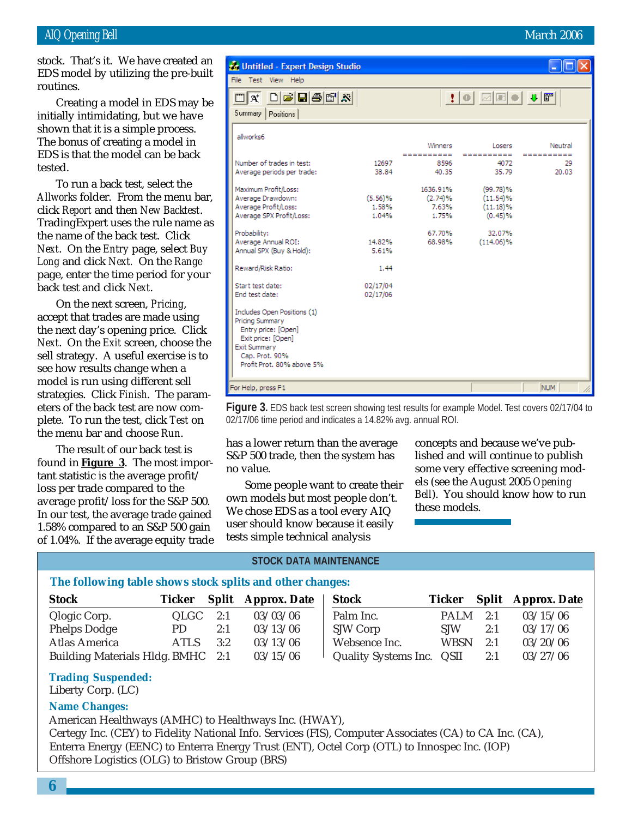stock. That's it. We have created an EDS model by utilizing the pre-built routines.

Creating a model in EDS may be initially intimidating, but we have shown that it is a simple process. The bonus of creating a model in EDS is that the model can be back tested.

To run a back test, select the *Allworks* folder. From the menu bar, click *Report* and then *New Backtest*. TradingExpert uses the rule name as the name of the back test. Click *Next*. On the *Entry* page, select *Buy Long* and click *Next.* On the *Range* page, enter the time period for your back test and click *Next*.

On the next screen, *Pricing*, accept that trades are made using the next day's opening price. Click *Next*. On the *Exit* screen, choose the sell strategy. A useful exercise is to see how results change when a model is run using different sell strategies. Click *Finish*. The parameters of the back test are now complete. To run the test, click *Test* on the menu bar and choose *Run*.

The result of our back test is found in **Figure 3**. The most important statistic is the average profit/ loss per trade compared to the average profit/loss for the S&P 500. In our test, the average trade gained 1.58% compared to an S&P 500 gain of 1.04%. If the average equity trade

| Untitled - Expert Design Studio                                                                                                                                   |                           |                                       |                                                   |                  |
|-------------------------------------------------------------------------------------------------------------------------------------------------------------------|---------------------------|---------------------------------------|---------------------------------------------------|------------------|
| File Test View Help                                                                                                                                               |                           |                                       |                                                   |                  |
| $\Box$ e H $\oplus$ T X<br>$\Box  A $<br>Summary<br>Positions                                                                                                     |                           |                                       |                                                   |                  |
| allworks6                                                                                                                                                         |                           | Winners                               | Losers                                            | Neutral          |
| Number of trades in test:                                                                                                                                         | 12697                     | ==========<br>8596                    | ==========<br>4072                                | ==========<br>29 |
| Average periods per trade:                                                                                                                                        | 38.84                     | 40.35                                 | 35.79                                             | 20.03            |
| Maximum Profit/Loss:<br>Average Drawdown:<br>Average Profit/Loss:<br>Average SPX Profit/Loss:                                                                     | (5.56)%<br>1.58%<br>1.04% | 1636.91%<br>(2.74)%<br>7.63%<br>1.75% | $(99.78)\%$<br>$(11.54)\%$<br>(11.18)%<br>(0.45)% |                  |
| Probability:<br>Average Annual ROI:<br>Annual SPX (Buy & Hold):                                                                                                   | 14.82%<br>5.61%           | 67.70%<br>68.98%                      | 32.07%<br>$(114.06)\%$                            |                  |
| Reward/Risk Ratio:                                                                                                                                                | 1.44                      |                                       |                                                   |                  |
| Start test date:<br>End test date:                                                                                                                                | 02/17/04<br>02/17/06      |                                       |                                                   |                  |
| Includes Open Positions (1)<br>Pricing Summary<br>Entry price: [Open]<br>Exit price: [Open]<br><b>Exit Summary</b><br>Cap. Prot. 90%<br>Profit Prot. 80% above 5% |                           |                                       |                                                   |                  |
| For Help, press F1                                                                                                                                                |                           |                                       |                                                   | <b>NUM</b>       |

**Figure 3.** EDS back test screen showing test results for example Model. Test covers 02/17/04 to 02/17/06 time period and indicates a 14.82% avg. annual ROI.

has a lower return than the average S&P 500 trade, then the system has no value.

Some people want to create their own models but most people don't. We chose EDS as a tool every AIQ user should know because it easily tests simple technical analysis

concepts and because we've published and will continue to publish some very effective screening models (see the August 2005 *Opening Bell*). You should know how to run these models.

### **STOCK DATA MAINTENANCE**

### **The following table shows stock splits and other changes:**

| <b>Stock</b>                      | Ticker |     | <b>Split</b> Approx. Date | <b>Stock</b>              |             |     | Ticker Split Approx. Date |
|-----------------------------------|--------|-----|---------------------------|---------------------------|-------------|-----|---------------------------|
| Qlogic Corp.                      | QLGC   | 2:1 | 03/03/06                  | Palm Inc.                 | PALM        | 2:1 | 03/15/06                  |
| <b>Phelps Dodge</b>               | PD.    | 2:1 | 03/13/06                  | SJW Corp                  | <b>SIW</b>  | 2:1 | 03/17/06                  |
| <b>Atlas America</b>              | ATLS   | 3:2 | 03/13/06                  | Websence Inc.             | <b>WBSN</b> | 2:1 | 03/20/06                  |
| Building Materials Hldg. BMHC 2:1 |        |     | 03/15/06                  | Quality Systems Inc. QSII |             | 2:1 | 03/27/06                  |

### **Trading Suspended:**

Liberty Corp. (LC)

### **Name Changes:**

American Healthways (AMHC) to Healthways Inc. (HWAY),

Certegy Inc. (CEY) to Fidelity National Info. Services (FIS), Computer Associates (CA) to CA Inc. (CA), Enterra Energy (EENC) to Enterra Energy Trust (ENT), Octel Corp (OTL) to Innospec Inc. (IOP) Offshore Logistics (OLG) to Bristow Group (BRS)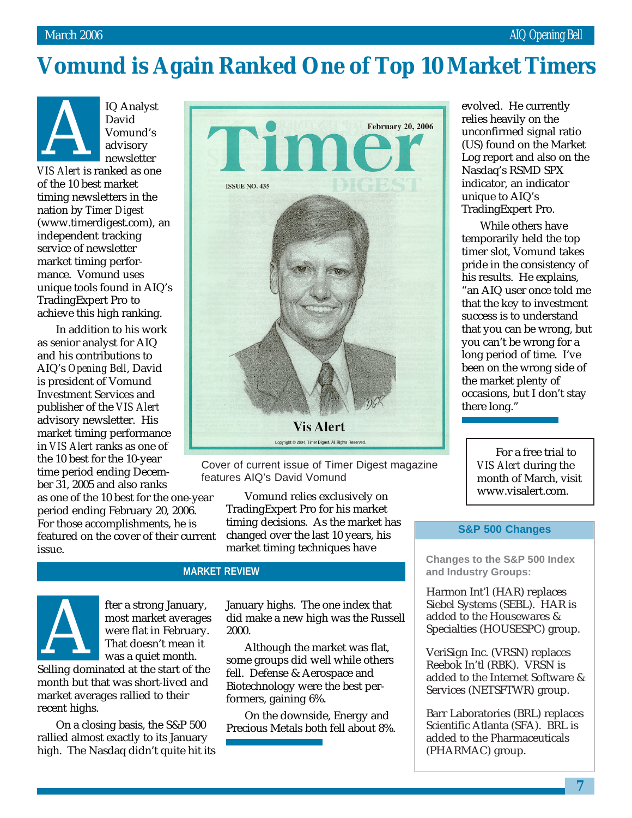# **Vomund is Again Ranked One of Top 10 Market Timers**

IQ Analyst David Vomund's advisory newsletter **V**<br>
David<br>
Vomund's<br>
advisory<br>
newsletter<br>
VIS Alert is ranked as one

of the 10 best market timing newsletters in the nation by *Timer Digest* (www.timerdigest.com), an independent tracking service of newsletter market timing performance. Vomund uses unique tools found in AIQ's TradingExpert Pro to achieve this high ranking.

In addition to his work as senior analyst for AIQ and his contributions to AIQ's *Opening Bell*, David is president of Vomund Investment Services and publisher of the *VIS Alert* advisory newsletter. His market timing performance in *VIS Alert* ranks as one of the 10 best for the 10-year time period ending December 31, 2005 and also ranks as one of the 10 best for the one-year period ending February 20, 2006. For those accomplishments, he is featured on the cover of their current issue.



Cover of current issue of Timer Digest magazine features AIQ's David Vomund

> Vomund relies exclusively on TradingExpert Pro for his market timing decisions. As the market has changed over the last 10 years, his market timing techniques have

# **MARKET REVIEW**



fter a strong January, most market averages were flat in February. That doesn't mean it was a quiet month. The a strong January,<br>
most market averages<br>
were flat in February.<br>
That doesn't mean it<br>
was a quiet month.<br>
Selling dominated at the start of the

month but that was short-lived and market averages rallied to their recent highs.

On a closing basis, the S&P 500 rallied almost exactly to its January high. The Nasdaq didn't quite hit its January highs. The one index that did make a new high was the Russell 2000.

Although the market was flat, some groups did well while others fell. Defense & Aerospace and Biotechnology were the best performers, gaining 6%.

On the downside, Energy and Precious Metals both fell about 8%. evolved. He currently relies heavily on the unconfirmed signal ratio (US) found on the Market Log report and also on the Nasdaq's RSMD SPX indicator, an indicator unique to AIQ's TradingExpert Pro.

While others have temporarily held the top timer slot, Vomund takes pride in the consistency of his results. He explains, "an AIQ user once told me that the key to investment success is to understand that you can be wrong, but you can't be wrong for a long period of time. I've been on the wrong side of the market plenty of occasions, but I don't stay there long."

> For a free trial to *VIS Alert* during the month of March, visit www.visalert.com.

## **S&P 500 Changes**

**Changes to the S&P 500 Index and Industry Groups:**

Harmon Int'l (HAR) replaces Siebel Systems (SEBL). HAR is added to the Housewares & Specialties (HOUSESPC) group.

VeriSign Inc. (VRSN) replaces Reebok In'tl (RBK). VRSN is added to the Internet Software & Services (NETSFTWR) group.

Barr Laboratories (BRL) replaces Scientific Atlanta (SFA). BRL is added to the Pharmaceuticals (PHARMAC) group.

**7**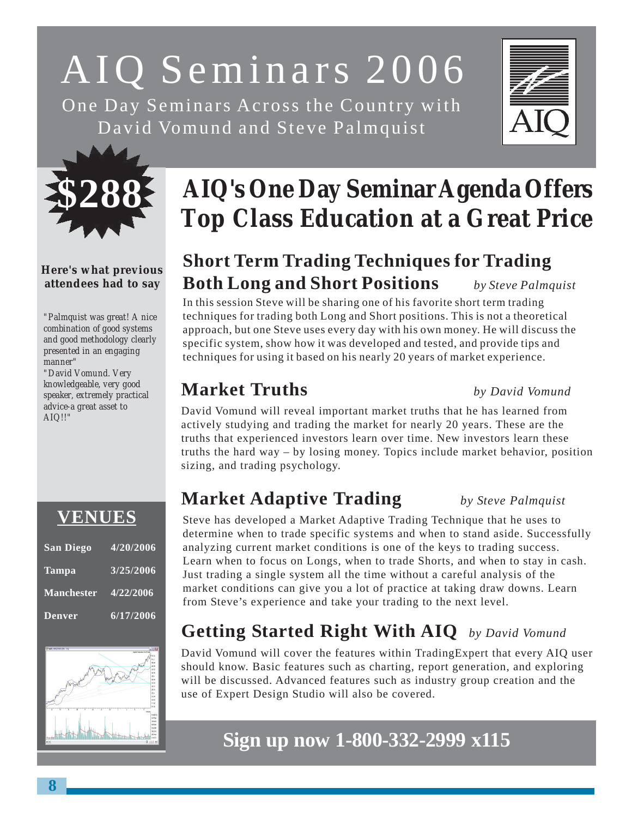# AIQ Seminars 2006

One Day Seminars Across the Country with David Vomund and Steve Palmquist





# **Here's what previous attendees had to say**

*"Palmquist was great! A nice combination of good systems and good methodology clearly presented in an engaging manner"*

*"David Vomund. Very knowledgeable, very good speaker, extremely practical advice-a great asset to AIQ!!"*



| <b>San Diego</b>  | 4/20/2006 |
|-------------------|-----------|
| <b>Tampa</b>      | 3/25/2006 |
| <b>Manchester</b> | 4/22/2006 |
| <b>Denver</b>     | 6/17/2006 |



# **AIQ's One Day Seminar Agenda Offers Top Class Education at a Great Price**

# **Short Term Trading Techniques for Trading Both Long and Short Positions** *by Steve Palmquist*

In this session Steve will be sharing one of his favorite short term trading techniques for trading both Long and Short positions. This is not a theoretical approach, but one Steve uses every day with his own money. He will discuss the specific system, show how it was developed and tested, and provide tips and techniques for using it based on his nearly 20 years of market experience.

# **Market Truths** *by David Vomund*

David Vomund will reveal important market truths that he has learned from actively studying and trading the market for nearly 20 years. These are the truths that experienced investors learn over time. New investors learn these truths the hard way – by losing money. Topics include market behavior, position sizing, and trading psychology.

# **Market Adaptive Trading** *by Steve Palmquist*

Steve has developed a Market Adaptive Trading Technique that he uses to determine when to trade specific systems and when to stand aside. Successfully analyzing current market conditions is one of the keys to trading success. Learn when to focus on Longs, when to trade Shorts, and when to stay in cash. Just trading a single system all the time without a careful analysis of the market conditions can give you a lot of practice at taking draw downs. Learn from Steve's experience and take your trading to the next level.

# **Getting Started Right With AIQ** *by David Vomund*

David Vomund will cover the features within TradingExpert that every AIQ user should know. Basic features such as charting, report generation, and exploring will be discussed. Advanced features such as industry group creation and the use of Expert Design Studio will also be covered.

# **Sign up now 1-800-332-2999 x115**